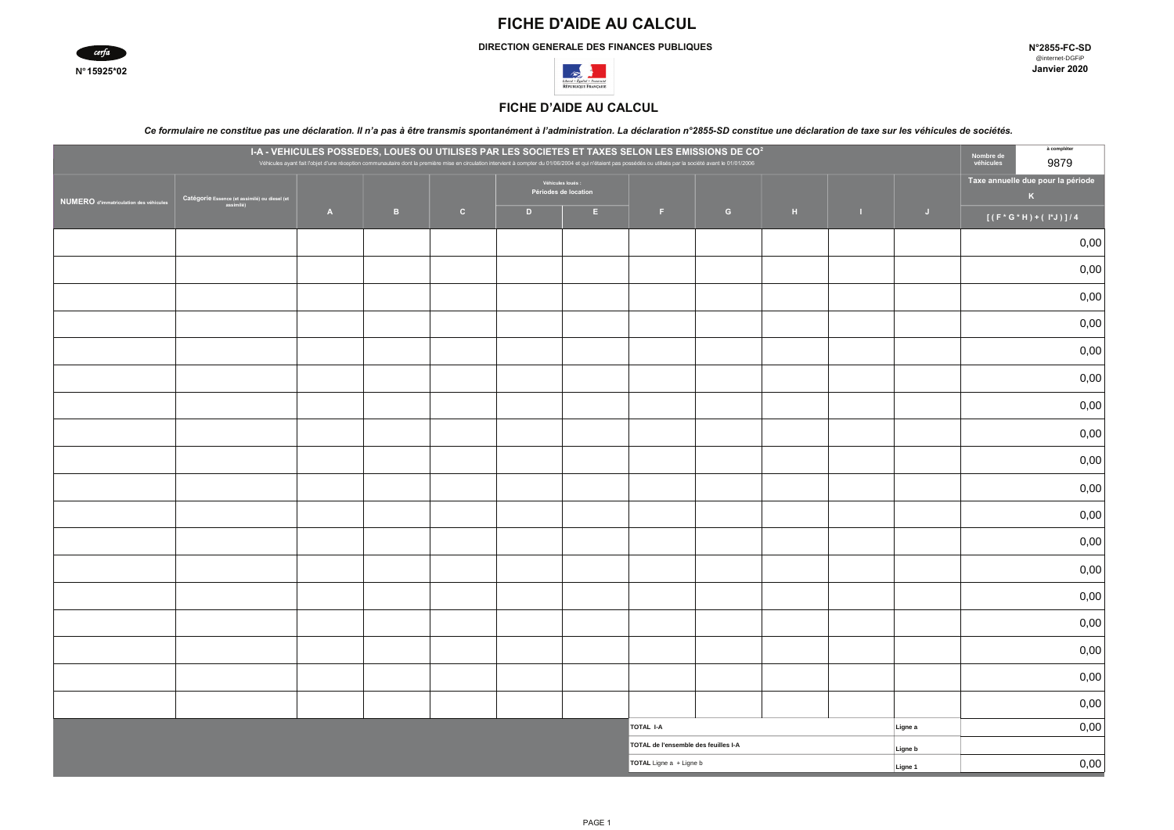**DIRECTION GENERALE DES FINANCES PUBLIQUES** 



**N°2855-FC-SD** @internet-DGFiP Janvier 2020



#### **FICHE D'AIDE AU CALCUL**

Ce formulaire ne constitue pas une déclaration. Il n'a pas à être transmis spontanément à l'administration. La déclaration n°2855-SD constitue une déclaration de taxe sur les véhicules de sociétés.

| I-A - VEHICULES POSSEDES, LOUES OU UTILISES PAR LES SOCIETES ET TAXES SELON LES EMISSIONS DE CO <sup>2</sup><br>Véhicules ayant fait l'objet d'une réception communautaire dont la première mise en circulation intervient à compter du 01/06/2004 et qui n'étaient pas possédés ou utilisés par la société avant le 01/01/2006 |                                                 |              |   |              |                                           |                |                |   |                                |                   |                              |                                                  |
|---------------------------------------------------------------------------------------------------------------------------------------------------------------------------------------------------------------------------------------------------------------------------------------------------------------------------------|-------------------------------------------------|--------------|---|--------------|-------------------------------------------|----------------|----------------|---|--------------------------------|-------------------|------------------------------|--------------------------------------------------|
|                                                                                                                                                                                                                                                                                                                                 |                                                 |              |   |              | Véhicules loués :<br>Périodes de location |                |                |   |                                |                   |                              | Taxe annuelle due pour la période<br>$\mathbf K$ |
| <b>NUMERO</b> d'immatriculation des véhicules                                                                                                                                                                                                                                                                                   | Catégorie Essence (et assimilé) ou diesel (et   | $\mathbf{A}$ | B | $\mathbf{C}$ | D                                         | $\mathbb{R}^+$ | $\mathbf{F}$ . | G | $\langle \mathbf{H} \rangle$ . | $\sim 10^{\circ}$ | $\langle \mathbf{J} \rangle$ | $[(F * G * H) + (T' J)]/4$                       |
|                                                                                                                                                                                                                                                                                                                                 |                                                 |              |   |              |                                           |                |                |   |                                |                   |                              | 0,00                                             |
|                                                                                                                                                                                                                                                                                                                                 |                                                 |              |   |              |                                           |                |                |   |                                |                   |                              | 0,00                                             |
|                                                                                                                                                                                                                                                                                                                                 |                                                 |              |   |              |                                           |                |                |   |                                |                   |                              | 0,00                                             |
|                                                                                                                                                                                                                                                                                                                                 |                                                 |              |   |              |                                           |                |                |   |                                |                   |                              | 0,00                                             |
|                                                                                                                                                                                                                                                                                                                                 |                                                 |              |   |              |                                           |                |                |   |                                |                   |                              | 0,00                                             |
|                                                                                                                                                                                                                                                                                                                                 |                                                 |              |   |              |                                           |                |                |   |                                |                   |                              | 0,00                                             |
|                                                                                                                                                                                                                                                                                                                                 |                                                 |              |   |              |                                           |                |                |   |                                |                   |                              | 0,00                                             |
|                                                                                                                                                                                                                                                                                                                                 |                                                 |              |   |              |                                           |                |                |   |                                |                   |                              | 0,00                                             |
|                                                                                                                                                                                                                                                                                                                                 |                                                 |              |   |              |                                           |                |                |   |                                |                   |                              | 0,00                                             |
|                                                                                                                                                                                                                                                                                                                                 |                                                 |              |   |              |                                           |                |                |   |                                |                   |                              | 0,00                                             |
|                                                                                                                                                                                                                                                                                                                                 |                                                 |              |   |              |                                           |                |                |   |                                |                   |                              | 0,00                                             |
|                                                                                                                                                                                                                                                                                                                                 |                                                 |              |   |              |                                           |                |                |   |                                |                   |                              | 0,00                                             |
|                                                                                                                                                                                                                                                                                                                                 |                                                 |              |   |              |                                           |                |                |   |                                |                   |                              | 0,00                                             |
|                                                                                                                                                                                                                                                                                                                                 |                                                 |              |   |              |                                           |                |                |   |                                |                   |                              | 0,00                                             |
|                                                                                                                                                                                                                                                                                                                                 |                                                 |              |   |              |                                           |                |                |   |                                |                   |                              | 0,00                                             |
|                                                                                                                                                                                                                                                                                                                                 |                                                 |              |   |              |                                           |                |                |   |                                |                   |                              | 0,00                                             |
|                                                                                                                                                                                                                                                                                                                                 |                                                 |              |   |              |                                           |                |                |   |                                |                   |                              | 0,00                                             |
|                                                                                                                                                                                                                                                                                                                                 |                                                 |              |   |              |                                           |                |                |   |                                |                   |                              | 0,00                                             |
| TOTAL I-A<br>Ligne a                                                                                                                                                                                                                                                                                                            |                                                 |              |   |              |                                           |                |                |   |                                |                   |                              | 0,00                                             |
|                                                                                                                                                                                                                                                                                                                                 | TOTAL de l'ensemble des feuilles I-A<br>Ligne b |              |   |              |                                           |                |                |   |                                |                   |                              |                                                  |
|                                                                                                                                                                                                                                                                                                                                 | TOTAL Ligne a + Ligne b                         |              |   |              |                                           |                |                |   |                                |                   |                              | 0,00                                             |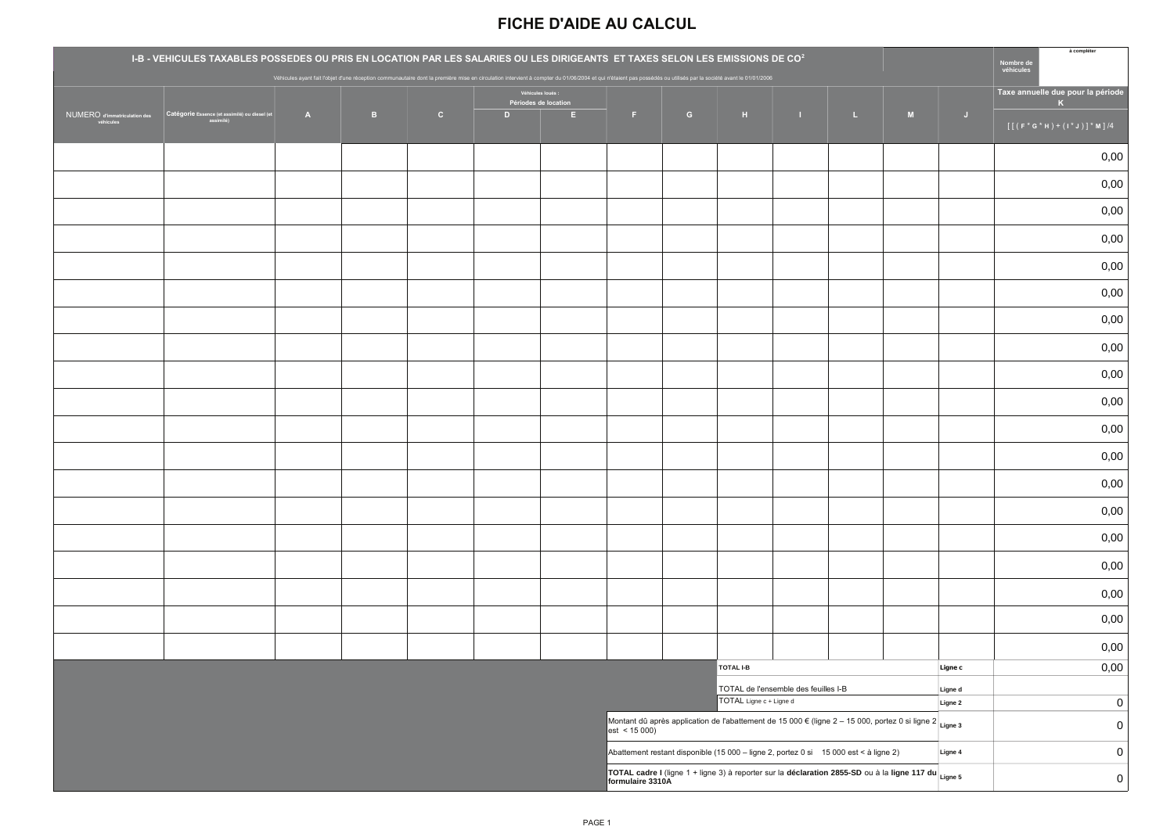| I-B - VEHICULES TAXABLES POSSEDES OU PRIS EN LOCATION PAR LES SALARIES OU LES DIRIGEANTS ET TAXES SELON LES EMISSIONS DE CO <sup>2</sup><br>Véhicules ayant fait l'objet d'une réception communautaire dont la première mise en circulation intervient à compter du 01/06/2004 et qui n'étaient pas possédés ou utilisés par la société avant le 01/01/2006 |                                               |              |                |              |   |                                                                                      |                  |           |                                                                                                                       |            |                |   |                    | à compléter<br>Nombre de<br>véhicules                                       |
|-------------------------------------------------------------------------------------------------------------------------------------------------------------------------------------------------------------------------------------------------------------------------------------------------------------------------------------------------------------|-----------------------------------------------|--------------|----------------|--------------|---|--------------------------------------------------------------------------------------|------------------|-----------|-----------------------------------------------------------------------------------------------------------------------|------------|----------------|---|--------------------|-----------------------------------------------------------------------------|
| NUMERO d'immatriculation des                                                                                                                                                                                                                                                                                                                                | Catégorie Essence (et assimilé) ou diesel (et | $\mathbf{A}$ | $\overline{B}$ | $\mathbf{C}$ | D | Véhicules loués :<br>Périodes de location<br><u>a shekara ta 1999 a </u><br><b>E</b> | <b>Film</b>      | $-$ G $-$ | $-$ H $-$                                                                                                             | <b>COL</b> | $\mathbf{L}$ . | M | $\mathbf{J}$       | Taxe annuelle due pour la période<br>K<br>$[[(F * G * H) + (I * J)] * M]/4$ |
|                                                                                                                                                                                                                                                                                                                                                             |                                               |              |                |              |   |                                                                                      |                  |           |                                                                                                                       |            |                |   |                    | 0,00                                                                        |
|                                                                                                                                                                                                                                                                                                                                                             |                                               |              |                |              |   |                                                                                      |                  |           |                                                                                                                       |            |                |   |                    | 0,00                                                                        |
|                                                                                                                                                                                                                                                                                                                                                             |                                               |              |                |              |   |                                                                                      |                  |           |                                                                                                                       |            |                |   |                    | 0,00                                                                        |
|                                                                                                                                                                                                                                                                                                                                                             |                                               |              |                |              |   |                                                                                      |                  |           |                                                                                                                       |            |                |   |                    |                                                                             |
|                                                                                                                                                                                                                                                                                                                                                             |                                               |              |                |              |   |                                                                                      |                  |           |                                                                                                                       |            |                |   |                    | 0,00                                                                        |
|                                                                                                                                                                                                                                                                                                                                                             |                                               |              |                |              |   |                                                                                      |                  |           |                                                                                                                       |            |                |   |                    | 0,00                                                                        |
|                                                                                                                                                                                                                                                                                                                                                             |                                               |              |                |              |   |                                                                                      |                  |           |                                                                                                                       |            |                |   |                    | 0,00                                                                        |
|                                                                                                                                                                                                                                                                                                                                                             |                                               |              |                |              |   |                                                                                      |                  |           |                                                                                                                       |            |                |   |                    | 0,00                                                                        |
|                                                                                                                                                                                                                                                                                                                                                             |                                               |              |                |              |   |                                                                                      |                  |           |                                                                                                                       |            |                |   |                    | 0,00                                                                        |
|                                                                                                                                                                                                                                                                                                                                                             |                                               |              |                |              |   |                                                                                      |                  |           |                                                                                                                       |            |                |   |                    | 0,00                                                                        |
|                                                                                                                                                                                                                                                                                                                                                             |                                               |              |                |              |   |                                                                                      |                  |           |                                                                                                                       |            |                |   |                    | 0,00                                                                        |
|                                                                                                                                                                                                                                                                                                                                                             |                                               |              |                |              |   |                                                                                      |                  |           |                                                                                                                       |            |                |   |                    | 0,00                                                                        |
|                                                                                                                                                                                                                                                                                                                                                             |                                               |              |                |              |   |                                                                                      |                  |           |                                                                                                                       |            |                |   |                    | 0,00                                                                        |
|                                                                                                                                                                                                                                                                                                                                                             |                                               |              |                |              |   |                                                                                      |                  |           |                                                                                                                       |            |                |   |                    | 0,00                                                                        |
|                                                                                                                                                                                                                                                                                                                                                             |                                               |              |                |              |   |                                                                                      |                  |           |                                                                                                                       |            |                |   |                    | 0,00                                                                        |
|                                                                                                                                                                                                                                                                                                                                                             |                                               |              |                |              |   |                                                                                      |                  |           |                                                                                                                       |            |                |   |                    | 0,00                                                                        |
|                                                                                                                                                                                                                                                                                                                                                             |                                               |              |                |              |   |                                                                                      |                  |           |                                                                                                                       |            |                |   |                    | 0,00                                                                        |
|                                                                                                                                                                                                                                                                                                                                                             |                                               |              |                |              |   |                                                                                      |                  |           |                                                                                                                       |            |                |   |                    | 0,00                                                                        |
|                                                                                                                                                                                                                                                                                                                                                             |                                               |              |                |              |   |                                                                                      |                  |           |                                                                                                                       |            |                |   |                    | 0,00                                                                        |
|                                                                                                                                                                                                                                                                                                                                                             |                                               |              |                |              |   |                                                                                      |                  |           |                                                                                                                       |            |                |   |                    | 0,00                                                                        |
|                                                                                                                                                                                                                                                                                                                                                             |                                               |              |                |              |   |                                                                                      |                  |           | <b>TOTAL I-B</b>                                                                                                      |            |                |   | Ligne c            | 0,00                                                                        |
| TOTAL de l'ensemble des feuilles I-B<br>TOTAL Ligne c + Ligne d                                                                                                                                                                                                                                                                                             |                                               |              |                |              |   |                                                                                      |                  |           |                                                                                                                       |            |                |   | Ligne d<br>Ligne 2 | $\overline{0}$                                                              |
| Montant dû après application de l'abattement de 15 000 € (ligne 2 – 15 000, portez 0 si ligne 2 Ligne 3<br>est < 15000                                                                                                                                                                                                                                      |                                               |              |                |              |   |                                                                                      |                  |           |                                                                                                                       |            |                |   |                    | $\mathbf 0$                                                                 |
|                                                                                                                                                                                                                                                                                                                                                             |                                               |              |                |              |   |                                                                                      |                  |           | Abattement restant disponible (15 000 - ligne 2, portez 0 si 15 000 est < à ligne 2)                                  |            |                |   | Ligne 4            | $\mathbf 0$                                                                 |
|                                                                                                                                                                                                                                                                                                                                                             |                                               |              |                |              |   |                                                                                      | formulaire 3310A |           | TOTAL cadre I (ligne 1 + ligne 3) à reporter sur la déclaration 2855-SD ou à la ligne 117 du $\big _{\text{Ligne 5}}$ |            |                |   |                    | $\mathbf 0$                                                                 |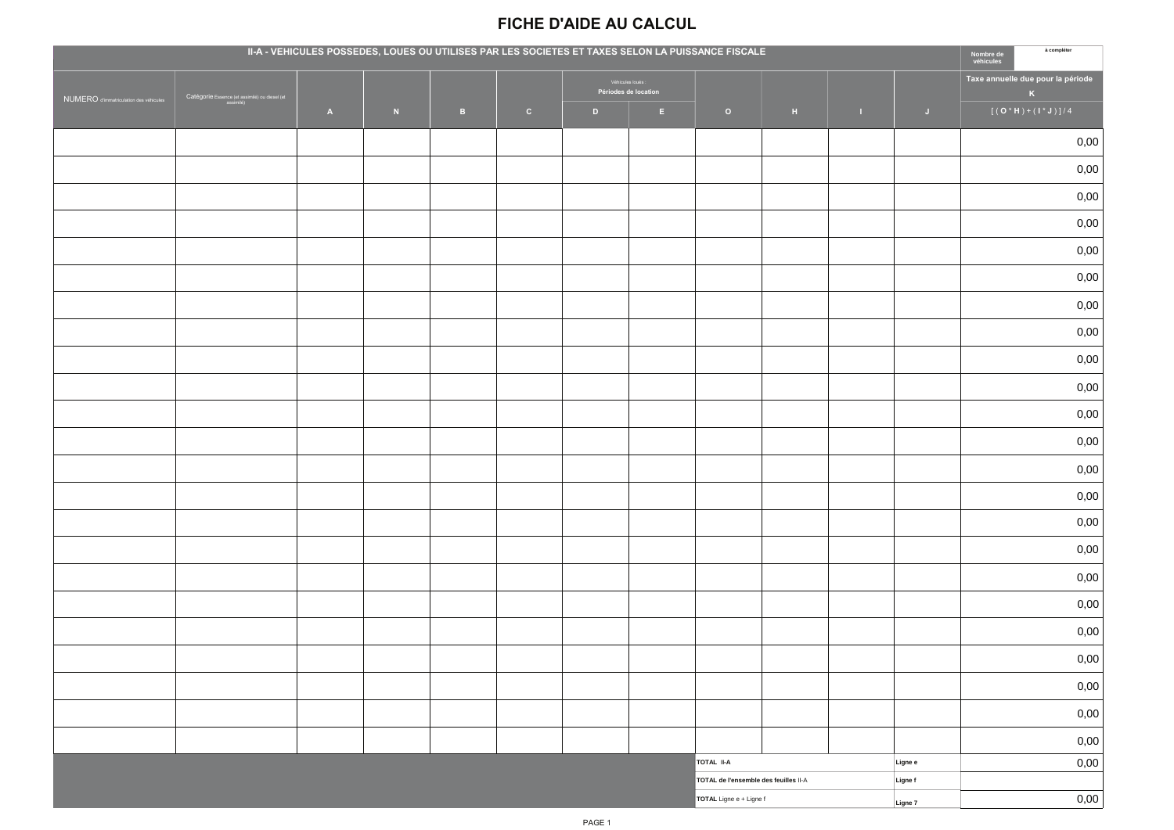| II-A - VEHICULES POSSEDES, LOUES OU UTILISES PAR LES SOCIETES ET TAXES SELON LA PUISSANCE FISCALE |                                                                                      |              |                |   |              |                                           |                |                                       |                                |            |                |                                                  |
|---------------------------------------------------------------------------------------------------|--------------------------------------------------------------------------------------|--------------|----------------|---|--------------|-------------------------------------------|----------------|---------------------------------------|--------------------------------|------------|----------------|--------------------------------------------------|
|                                                                                                   |                                                                                      |              |                |   |              | Véhicules loués :<br>Périodes de location |                |                                       |                                |            |                | Taxe annuelle due pour la période<br>$K_{\odot}$ |
|                                                                                                   | NUMERO d'immatriculation des véhicules Catégorie Essence (et assimilé) ou diesel (et | $\mathbf{A}$ | $\mathbf{N}$ . | B | $\mathbf{C}$ | $\mathbf{D}$                              | $\mathbf{E}$ . | $\bullet$                             | $\langle \mathbf{H} \rangle$ . | $\sim 100$ | $\mathbf{J}$ . | $[(0 \times H) + (1 \times J)]/4$                |
|                                                                                                   |                                                                                      |              |                |   |              |                                           |                |                                       |                                |            |                | 0,00                                             |
|                                                                                                   |                                                                                      |              |                |   |              |                                           |                |                                       |                                |            |                | $_{0,00}$                                        |
|                                                                                                   |                                                                                      |              |                |   |              |                                           |                |                                       |                                |            |                | $_{0,00}$                                        |
|                                                                                                   |                                                                                      |              |                |   |              |                                           |                |                                       |                                |            |                | 0,00                                             |
|                                                                                                   |                                                                                      |              |                |   |              |                                           |                |                                       |                                |            |                | $_{0,00}$                                        |
|                                                                                                   |                                                                                      |              |                |   |              |                                           |                |                                       |                                |            |                | $_{0,00}$                                        |
|                                                                                                   |                                                                                      |              |                |   |              |                                           |                |                                       |                                |            |                | $_{0,00}$                                        |
|                                                                                                   |                                                                                      |              |                |   |              |                                           |                |                                       |                                |            |                | $_{0,00}$                                        |
|                                                                                                   |                                                                                      |              |                |   |              |                                           |                |                                       |                                |            |                | 0,00                                             |
|                                                                                                   |                                                                                      |              |                |   |              |                                           |                |                                       |                                |            |                | 0,00                                             |
|                                                                                                   |                                                                                      |              |                |   |              |                                           |                |                                       |                                |            |                | $_{0,00}$                                        |
|                                                                                                   |                                                                                      |              |                |   |              |                                           |                |                                       |                                |            |                | 0,00                                             |
|                                                                                                   |                                                                                      |              |                |   |              |                                           |                |                                       |                                |            |                | $_{0,00}$                                        |
|                                                                                                   |                                                                                      |              |                |   |              |                                           |                |                                       |                                |            |                | $_{0,00}$                                        |
|                                                                                                   |                                                                                      |              |                |   |              |                                           |                |                                       |                                |            |                | $_{0,00}$                                        |
|                                                                                                   |                                                                                      |              |                |   |              |                                           |                |                                       |                                |            |                | $_{0,00}$                                        |
|                                                                                                   |                                                                                      |              |                |   |              |                                           |                |                                       |                                |            |                | $_{0,00}$                                        |
|                                                                                                   |                                                                                      |              |                |   |              |                                           |                |                                       |                                |            |                | $_{0,00}$                                        |
|                                                                                                   |                                                                                      |              |                |   |              |                                           |                |                                       |                                |            |                | $_{0,00}$                                        |
|                                                                                                   |                                                                                      |              |                |   |              |                                           |                |                                       |                                |            |                | $_{0,00}$                                        |
|                                                                                                   |                                                                                      |              |                |   |              |                                           |                |                                       |                                |            |                | 0,00                                             |
|                                                                                                   |                                                                                      |              |                |   |              |                                           |                |                                       |                                |            |                | $_{0,00}$                                        |
|                                                                                                   |                                                                                      |              |                |   |              |                                           |                |                                       |                                |            |                | 0,00                                             |
|                                                                                                   |                                                                                      |              |                |   |              |                                           |                | TOTAL II-A                            |                                |            | Ligne e        | 0,00                                             |
|                                                                                                   |                                                                                      |              |                |   |              |                                           |                | TOTAL de l'ensemble des feuilles II-A |                                |            | <b>Ligne f</b> |                                                  |
|                                                                                                   |                                                                                      |              |                |   |              |                                           |                | TOTAL Ligne e + Ligne f               |                                |            | Ligne 7        | 0,00                                             |